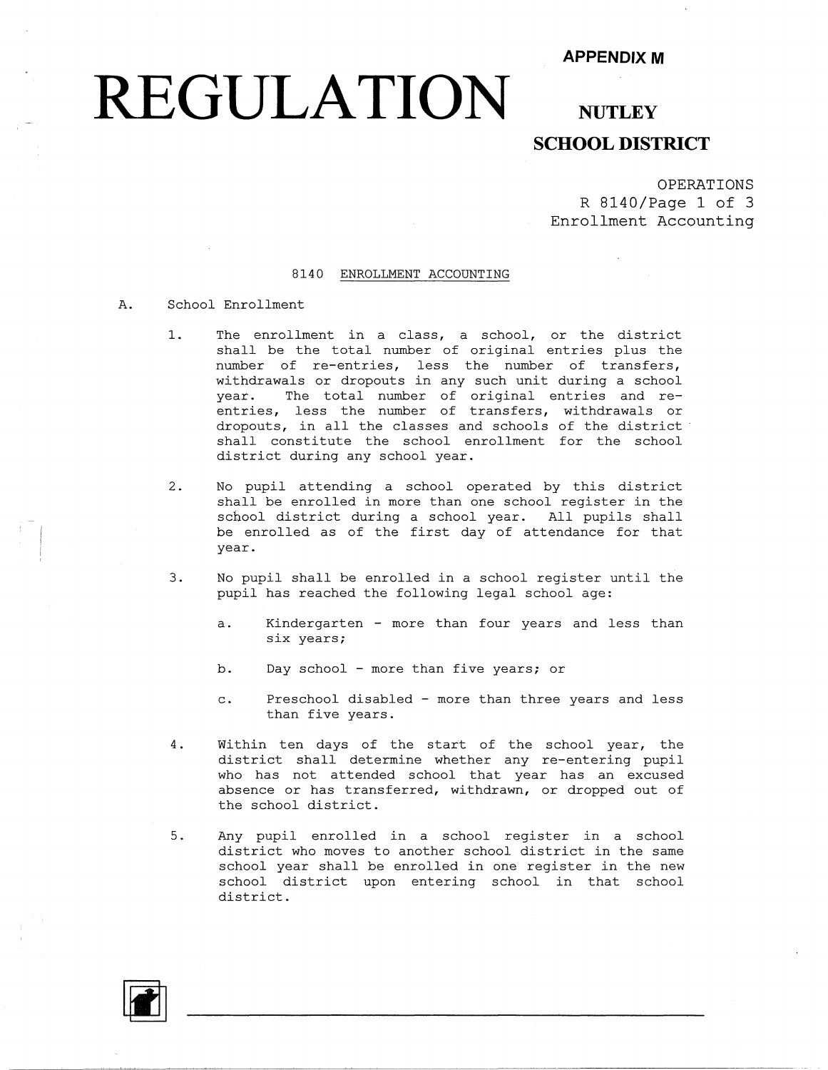## **REGULATION**

#### **NUTLEY SCHOOL DISTRICT**

OPERATIONS R 8140/Page 1 of 3 Enrollment Accounting

#### 8140 ENROLLMENT ACCOUNTING

#### A. School Enrollment

- 1. The enrollment in a class, a school, or the distr shall be the total number of original entries plus the number of re-entries, less the number of transfers, withdrawals or dropouts in any such unit during a school year. The total number of original entries and reentries, less the number of transfers, withdrawals or dropouts, in all the classes and schools of the district shall constitute the school enrollment for the school district during any school year.
- 2. No pupil attending a school operated by this district shall be enrolled in more than one school register in the school district during a school year. All pupils shall be enrolled as of the first day of attendance for that year.
- 3. No pupil shall be enrolled in a school register until the pupil has reached the following legal school age:
	- a. Kindergarten more than four years and less than six years;
	- b. Day school more than five years; or
	- c. Preschool disabled more than three years and less than five years.
- 4. Within ten days of the start of the school year, the district shall determine whether any re-entering pupil who has not attended school that year has an excused absence or has transferred, withdrawn, or dropped out of the school district.
- 5. Any pupil enrolled in a school register in a school district who moves to another school district in the same school year shall be enrolled in one register in the new school district upon entering school in that school district.

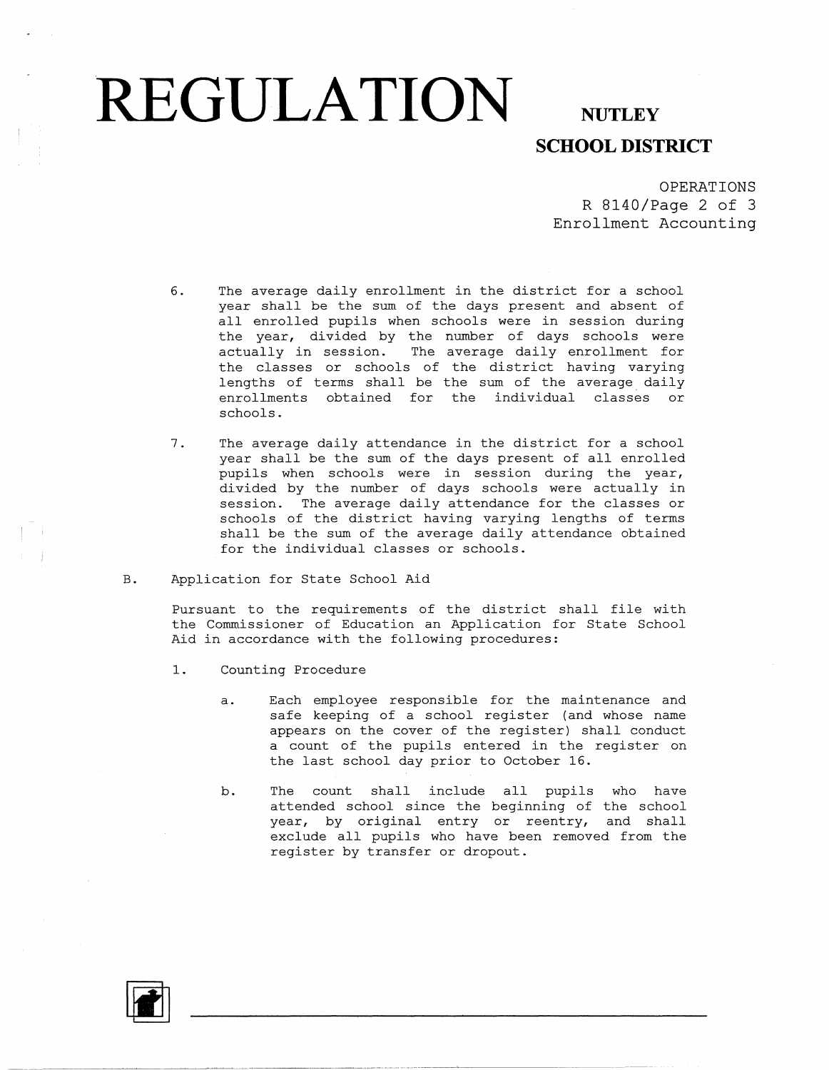# **REGULATION** NUTLEY

### **SCHOOL DISTRICT**

OPERATIONS R 8140/Page 2 of 3 Enrollment Accounting

- 6. The average daily enrollment in the district for a school year shall be the sum of the days present and absent of all enrolled pupils when schools were in session during the year, divided by the number of days schools were actually in session. The average daily enrollment for the classes or schools of the district having varying lengths of terms shall be the sum of the average daily enrollments obtained for the individual classes or schools.
- 7. The average daily attendance in the district for a school year shall be the sum of the days present of all enrolled pupils when schools were in session during the year, divided by the number of days schools were actually in session. The average daily attendance for the classes or schools of the district having varying lengths of terms shall be the sum of the average daily attendance obtained for the individual classes or schools.
- B. Application for State School Aid

Pursuant to the requirements of the district shall file with the Commissioner of Education an Application for State School Aid in accordance with the following procedures:

- 1. Counting Procedure
	- a. Each employee responsible for the maintenance and safe keeping of a school register (and whose name appears on the cover of the register) shall conduct a count of the pupils entered in the register on the last school day prior to October 16.
	- b. The count shall include all pupils who have attended school since the beginning of the school year, by original entry or reentry, and shall exclude all pupils who have been removed from the register by transfer or dropout.